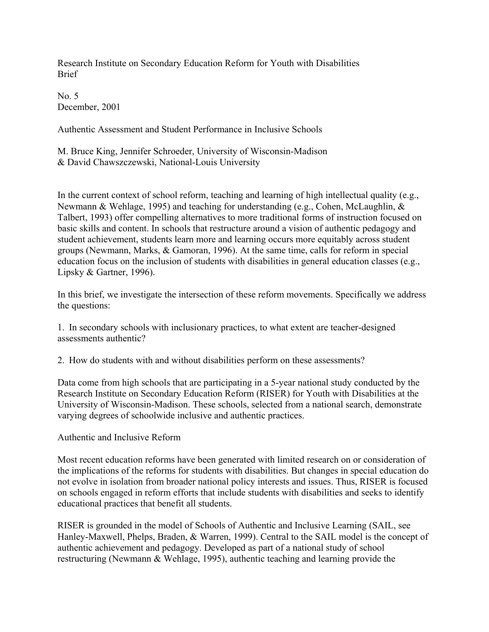Research Institute on Secondary Education Reform for Youth with Disabilities Brief

No. 5 December, 2001

Authentic Assessment and Student Performance in Inclusive Schools

M. Bruce King, Jennifer Schroeder, University of Wisconsin-Madison & David Chawszczewski, National-Louis University

In the current context of school reform, teaching and learning of high intellectual quality (e.g., Newmann & Wehlage, 1995) and teaching for understanding (e.g., Cohen, McLaughlin, & Talbert, 1993) offer compelling alternatives to more traditional forms of instruction focused on basic skills and content. In schools that restructure around a vision of authentic pedagogy and student achievement, students learn more and learning occurs more equitably across student groups (Newmann, Marks, & Gamoran, 1996). At the same time, calls for reform in special education focus on the inclusion of students with disabilities in general education classes (e.g., Lipsky & Gartner, 1996).

In this brief, we investigate the intersection of these reform movements. Specifically we address the questions:

1. In secondary schools with inclusionary practices, to what extent are teacher-designed assessments authentic?

2. How do students with and without disabilities perform on these assessments?

Data come from high schools that are participating in a 5-year national study conducted by the Research Institute on Secondary Education Reform (RISER) for Youth with Disabilities at the University of Wisconsin-Madison. These schools, selected from a national search, demonstrate varying degrees of schoolwide inclusive and authentic practices.

## Authentic and Inclusive Reform

Most recent education reforms have been generated with limited research on or consideration of the implications of the reforms for students with disabilities. But changes in special education do not evolve in isolation from broader national policy interests and issues. Thus, RISER is focused on schools engaged in reform efforts that include students with disabilities and seeks to identify educational practices that benefit all students.

RISER is grounded in the model of Schools of Authentic and Inclusive Learning (SAIL, see Hanley-Maxwell, Phelps, Braden, & Warren, 1999). Central to the SAIL model is the concept of authentic achievement and pedagogy. Developed as part of a national study of school restructuring (Newmann & Wehlage, 1995), authentic teaching and learning provide the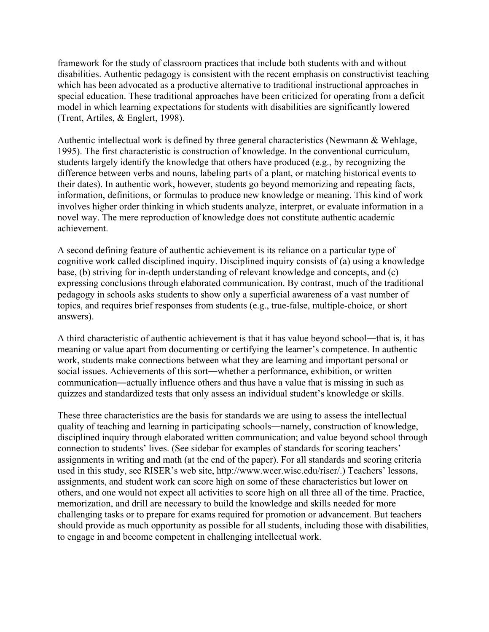framework for the study of classroom practices that include both students with and without disabilities. Authentic pedagogy is consistent with the recent emphasis on constructivist teaching which has been advocated as a productive alternative to traditional instructional approaches in special education. These traditional approaches have been criticized for operating from a deficit model in which learning expectations for students with disabilities are significantly lowered (Trent, Artiles, & Englert, 1998).

Authentic intellectual work is defined by three general characteristics (Newmann & Wehlage, 1995). The first characteristic is construction of knowledge. In the conventional curriculum, students largely identify the knowledge that others have produced (e.g., by recognizing the difference between verbs and nouns, labeling parts of a plant, or matching historical events to their dates). In authentic work, however, students go beyond memorizing and repeating facts, information, definitions, or formulas to produce new knowledge or meaning. This kind of work involves higher order thinking in which students analyze, interpret, or evaluate information in a novel way. The mere reproduction of knowledge does not constitute authentic academic achievement.

A second defining feature of authentic achievement is its reliance on a particular type of cognitive work called disciplined inquiry. Disciplined inquiry consists of (a) using a knowledge base, (b) striving for in-depth understanding of relevant knowledge and concepts, and (c) expressing conclusions through elaborated communication. By contrast, much of the traditional pedagogy in schools asks students to show only a superficial awareness of a vast number of topics, and requires brief responses from students (e.g., true-false, multiple-choice, or short answers).

A third characteristic of authentic achievement is that it has value beyond school—that is, it has meaning or value apart from documenting or certifying the learner's competence. In authentic work, students make connections between what they are learning and important personal or social issues. Achievements of this sort―whether a performance, exhibition, or written communication―actually influence others and thus have a value that is missing in such as quizzes and standardized tests that only assess an individual student's knowledge or skills.

These three characteristics are the basis for standards we are using to assess the intellectual quality of teaching and learning in participating schools―namely, construction of knowledge, disciplined inquiry through elaborated written communication; and value beyond school through connection to students' lives. (See sidebar for examples of standards for scoring teachers' assignments in writing and math (at the end of the paper). For all standards and scoring criteria used in this study, see RISER's web site, http://www.wcer.wisc.edu/riser/.) Teachers' lessons, assignments, and student work can score high on some of these characteristics but lower on others, and one would not expect all activities to score high on all three all of the time. Practice, memorization, and drill are necessary to build the knowledge and skills needed for more challenging tasks or to prepare for exams required for promotion or advancement. But teachers should provide as much opportunity as possible for all students, including those with disabilities, to engage in and become competent in challenging intellectual work.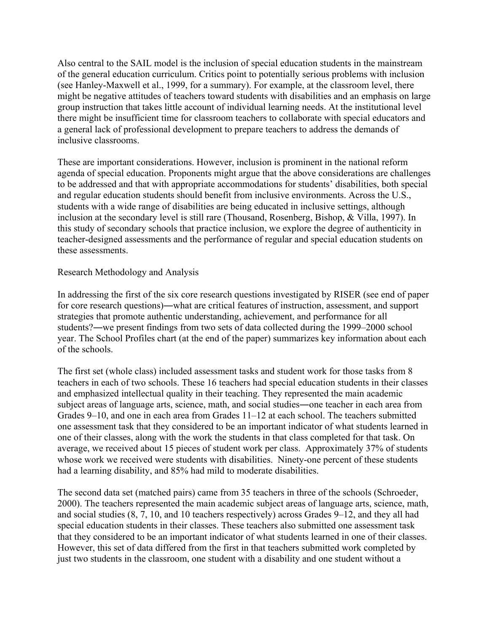Also central to the SAIL model is the inclusion of special education students in the mainstream of the general education curriculum. Critics point to potentially serious problems with inclusion (see Hanley-Maxwell et al., 1999, for a summary). For example, at the classroom level, there might be negative attitudes of teachers toward students with disabilities and an emphasis on large group instruction that takes little account of individual learning needs. At the institutional level there might be insufficient time for classroom teachers to collaborate with special educators and a general lack of professional development to prepare teachers to address the demands of inclusive classrooms.

These are important considerations. However, inclusion is prominent in the national reform agenda of special education. Proponents might argue that the above considerations are challenges to be addressed and that with appropriate accommodations for students' disabilities, both special and regular education students should benefit from inclusive environments. Across the U.S., students with a wide range of disabilities are being educated in inclusive settings, although inclusion at the secondary level is still rare (Thousand, Rosenberg, Bishop, & Villa, 1997). In this study of secondary schools that practice inclusion, we explore the degree of authenticity in teacher-designed assessments and the performance of regular and special education students on these assessments.

# Research Methodology and Analysis

In addressing the first of the six core research questions investigated by RISER (see end of paper for core research questions)―what are critical features of instruction, assessment, and support strategies that promote authentic understanding, achievement, and performance for all students?―we present findings from two sets of data collected during the 1999–2000 school year. The School Profiles chart (at the end of the paper) summarizes key information about each of the schools.

The first set (whole class) included assessment tasks and student work for those tasks from 8 teachers in each of two schools. These 16 teachers had special education students in their classes and emphasized intellectual quality in their teaching. They represented the main academic subject areas of language arts, science, math, and social studies―one teacher in each area from Grades 9–10, and one in each area from Grades 11–12 at each school. The teachers submitted one assessment task that they considered to be an important indicator of what students learned in one of their classes, along with the work the students in that class completed for that task. On average, we received about 15 pieces of student work per class. Approximately 37% of students whose work we received were students with disabilities. Ninety-one percent of these students had a learning disability, and 85% had mild to moderate disabilities.

The second data set (matched pairs) came from 35 teachers in three of the schools (Schroeder, 2000). The teachers represented the main academic subject areas of language arts, science, math, and social studies (8, 7, 10, and 10 teachers respectively) across Grades 9–12, and they all had special education students in their classes. These teachers also submitted one assessment task that they considered to be an important indicator of what students learned in one of their classes. However, this set of data differed from the first in that teachers submitted work completed by just two students in the classroom, one student with a disability and one student without a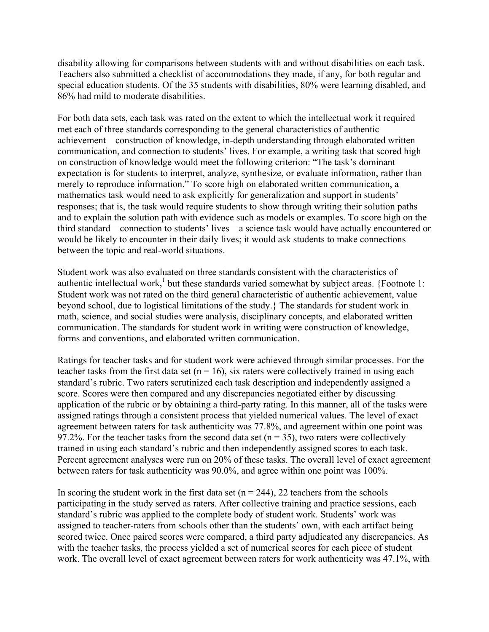disability allowing for comparisons between students with and without disabilities on each task. Teachers also submitted a checklist of accommodations they made, if any, for both regular and special education students. Of the 35 students with disabilities, 80% were learning disabled, and 86% had mild to moderate disabilities.

For both data sets, each task was rated on the extent to which the intellectual work it required met each of three standards corresponding to the general characteristics of authentic achievement—construction of knowledge, in-depth understanding through elaborated written communication, and connection to students' lives. For example, a writing task that scored high on construction of knowledge would meet the following criterion: "The task's dominant expectation is for students to interpret, analyze, synthesize, or evaluate information, rather than merely to reproduce information." To score high on elaborated written communication, a mathematics task would need to ask explicitly for generalization and support in students' responses; that is, the task would require students to show through writing their solution paths and to explain the solution path with evidence such as models or examples. To score high on the third standard—connection to students' lives—a science task would have actually encountered or would be likely to encounter in their daily lives; it would ask students to make connections between the topic and real-world situations.

Student work was also evaluated on three standards consistent with the characteristics of authentic intellectual work,<sup>1</sup> but these standards varied somewhat by subject areas. {Footnote 1: Student work was not rated on the third general characteristic of authentic achievement, value beyond school, due to logistical limitations of the study.} The standards for student work in math, science, and social studies were analysis, disciplinary concepts, and elaborated written communication. The standards for student work in writing were construction of knowledge, forms and conventions, and elaborated written communication.

Ratings for teacher tasks and for student work were achieved through similar processes. For the teacher tasks from the first data set ( $n = 16$ ), six raters were collectively trained in using each standard's rubric. Two raters scrutinized each task description and independently assigned a score. Scores were then compared and any discrepancies negotiated either by discussing application of the rubric or by obtaining a third-party rating. In this manner, all of the tasks were assigned ratings through a consistent process that yielded numerical values. The level of exact agreement between raters for task authenticity was 77.8%, and agreement within one point was 97.2%. For the teacher tasks from the second data set ( $n = 35$ ), two raters were collectively trained in using each standard's rubric and then independently assigned scores to each task. Percent agreement analyses were run on 20% of these tasks. The overall level of exact agreement between raters for task authenticity was 90.0%, and agree within one point was 100%.

In scoring the student work in the first data set  $(n = 244)$ , 22 teachers from the schools participating in the study served as raters. After collective training and practice sessions, each standard's rubric was applied to the complete body of student work. Students' work was assigned to teacher-raters from schools other than the students' own, with each artifact being scored twice. Once paired scores were compared, a third party adjudicated any discrepancies. As with the teacher tasks, the process yielded a set of numerical scores for each piece of student work. The overall level of exact agreement between raters for work authenticity was 47.1%, with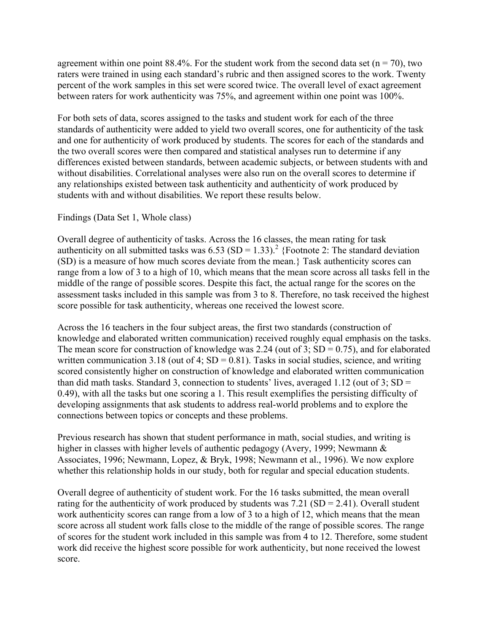agreement within one point 88.4%. For the student work from the second data set ( $n = 70$ ), two raters were trained in using each standard's rubric and then assigned scores to the work. Twenty percent of the work samples in this set were scored twice. The overall level of exact agreement between raters for work authenticity was 75%, and agreement within one point was 100%.

For both sets of data, scores assigned to the tasks and student work for each of the three standards of authenticity were added to yield two overall scores, one for authenticity of the task and one for authenticity of work produced by students. The scores for each of the standards and the two overall scores were then compared and statistical analyses run to determine if any differences existed between standards, between academic subjects, or between students with and without disabilities. Correlational analyses were also run on the overall scores to determine if any relationships existed between task authenticity and authenticity of work produced by students with and without disabilities. We report these results below.

# Findings (Data Set 1, Whole class)

Overall degree of authenticity of tasks. Across the 16 classes, the mean rating for task authenticity on all submitted tasks was  $6.53$  (SD = 1.33).<sup>2</sup> {Footnote 2: The standard deviation (SD) is a measure of how much scores deviate from the mean.} Task authenticity scores can range from a low of 3 to a high of 10, which means that the mean score across all tasks fell in the middle of the range of possible scores. Despite this fact, the actual range for the scores on the assessment tasks included in this sample was from 3 to 8. Therefore, no task received the highest score possible for task authenticity, whereas one received the lowest score.

Across the 16 teachers in the four subject areas, the first two standards (construction of knowledge and elaborated written communication) received roughly equal emphasis on the tasks. The mean score for construction of knowledge was 2.24 (out of 3;  $SD = 0.75$ ), and for elaborated written communication 3.18 (out of 4;  $SD = 0.81$ ). Tasks in social studies, science, and writing scored consistently higher on construction of knowledge and elaborated written communication than did math tasks. Standard 3, connection to students' lives, averaged  $1.12$  (out of  $3$ ; SD = 0.49), with all the tasks but one scoring a 1. This result exemplifies the persisting difficulty of developing assignments that ask students to address real-world problems and to explore the connections between topics or concepts and these problems.

Previous research has shown that student performance in math, social studies, and writing is higher in classes with higher levels of authentic pedagogy (Avery, 1999; Newmann  $\&$ Associates, 1996; Newmann, Lopez, & Bryk, 1998; Newmann et al., 1996). We now explore whether this relationship holds in our study, both for regular and special education students.

Overall degree of authenticity of student work. For the 16 tasks submitted, the mean overall rating for the authenticity of work produced by students was  $7.21$  (SD = 2.41). Overall student work authenticity scores can range from a low of 3 to a high of 12, which means that the mean score across all student work falls close to the middle of the range of possible scores. The range of scores for the student work included in this sample was from 4 to 12. Therefore, some student work did receive the highest score possible for work authenticity, but none received the lowest score.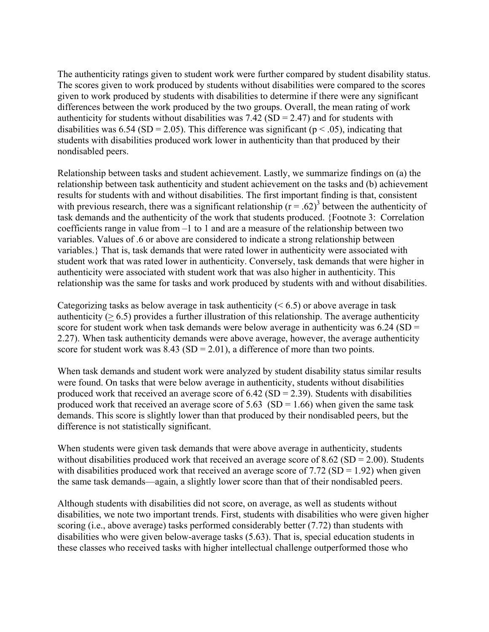The authenticity ratings given to student work were further compared by student disability status. The scores given to work produced by students without disabilities were compared to the scores given to work produced by students with disabilities to determine if there were any significant differences between the work produced by the two groups. Overall, the mean rating of work authenticity for students without disabilities was  $7.42$  (SD = 2.47) and for students with disabilities was 6.54 (SD = 2.05). This difference was significant ( $p < .05$ ), indicating that students with disabilities produced work lower in authenticity than that produced by their nondisabled peers.

Relationship between tasks and student achievement. Lastly, we summarize findings on (a) the relationship between task authenticity and student achievement on the tasks and (b) achievement results for students with and without disabilities. The first important finding is that, consistent with previous research, there was a significant relationship  $(r = .62)^3$  between the authenticity of task demands and the authenticity of the work that students produced. {Footnote 3: Correlation coefficients range in value from –1 to 1 and are a measure of the relationship between two variables. Values of .6 or above are considered to indicate a strong relationship between variables.} That is, task demands that were rated lower in authenticity were associated with student work that was rated lower in authenticity. Conversely, task demands that were higher in authenticity were associated with student work that was also higher in authenticity. This relationship was the same for tasks and work produced by students with and without disabilities.

Categorizing tasks as below average in task authenticity ( $\leq 6.5$ ) or above average in task authenticity ( $> 6.5$ ) provides a further illustration of this relationship. The average authenticity score for student work when task demands were below average in authenticity was  $6.24$  (SD = 2.27). When task authenticity demands were above average, however, the average authenticity score for student work was  $8.43$  (SD = 2.01), a difference of more than two points.

When task demands and student work were analyzed by student disability status similar results were found. On tasks that were below average in authenticity, students without disabilities produced work that received an average score of  $6.42$  (SD = 2.39). Students with disabilities produced work that received an average score of  $5.63$  (SD = 1.66) when given the same task demands. This score is slightly lower than that produced by their nondisabled peers, but the difference is not statistically significant.

When students were given task demands that were above average in authenticity, students without disabilities produced work that received an average score of  $8.62$  (SD =  $2.00$ ). Students with disabilities produced work that received an average score of  $7.72$  (SD = 1.92) when given the same task demands—again, a slightly lower score than that of their nondisabled peers.

Although students with disabilities did not score, on average, as well as students without disabilities, we note two important trends. First, students with disabilities who were given higher scoring (i.e., above average) tasks performed considerably better (7.72) than students with disabilities who were given below-average tasks (5.63). That is, special education students in these classes who received tasks with higher intellectual challenge outperformed those who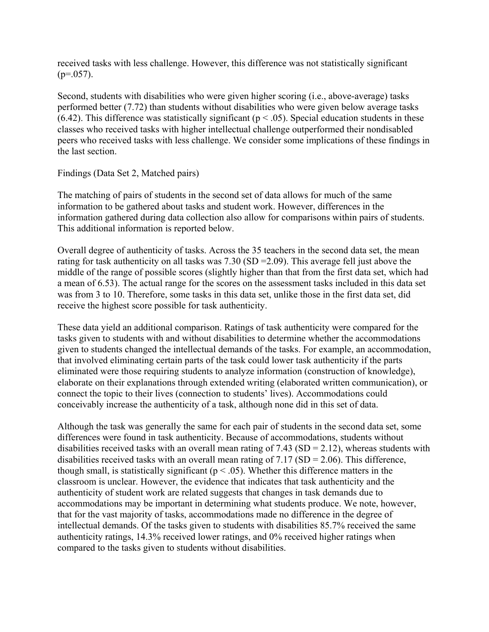received tasks with less challenge. However, this difference was not statistically significant  $(p=.057)$ .

Second, students with disabilities who were given higher scoring (i.e., above-average) tasks performed better (7.72) than students without disabilities who were given below average tasks (6.42). This difference was statistically significant ( $p < .05$ ). Special education students in these classes who received tasks with higher intellectual challenge outperformed their nondisabled peers who received tasks with less challenge. We consider some implications of these findings in the last section.

# Findings (Data Set 2, Matched pairs)

The matching of pairs of students in the second set of data allows for much of the same information to be gathered about tasks and student work. However, differences in the information gathered during data collection also allow for comparisons within pairs of students. This additional information is reported below.

Overall degree of authenticity of tasks. Across the 35 teachers in the second data set, the mean rating for task authenticity on all tasks was 7.30 (SD =2.09). This average fell just above the middle of the range of possible scores (slightly higher than that from the first data set, which had a mean of 6.53). The actual range for the scores on the assessment tasks included in this data set was from 3 to 10. Therefore, some tasks in this data set, unlike those in the first data set, did receive the highest score possible for task authenticity.

These data yield an additional comparison. Ratings of task authenticity were compared for the tasks given to students with and without disabilities to determine whether the accommodations given to students changed the intellectual demands of the tasks. For example, an accommodation, that involved eliminating certain parts of the task could lower task authenticity if the parts eliminated were those requiring students to analyze information (construction of knowledge), elaborate on their explanations through extended writing (elaborated written communication), or connect the topic to their lives (connection to students' lives). Accommodations could conceivably increase the authenticity of a task, although none did in this set of data.

Although the task was generally the same for each pair of students in the second data set, some differences were found in task authenticity. Because of accommodations, students without disabilities received tasks with an overall mean rating of  $7.43$  (SD =  $2.12$ ), whereas students with disabilities received tasks with an overall mean rating of  $7.17$  (SD = 2.06). This difference, though small, is statistically significant ( $p < .05$ ). Whether this difference matters in the classroom is unclear. However, the evidence that indicates that task authenticity and the authenticity of student work are related suggests that changes in task demands due to accommodations may be important in determining what students produce. We note, however, that for the vast majority of tasks, accommodations made no difference in the degree of intellectual demands. Of the tasks given to students with disabilities 85.7% received the same authenticity ratings, 14.3% received lower ratings, and 0% received higher ratings when compared to the tasks given to students without disabilities.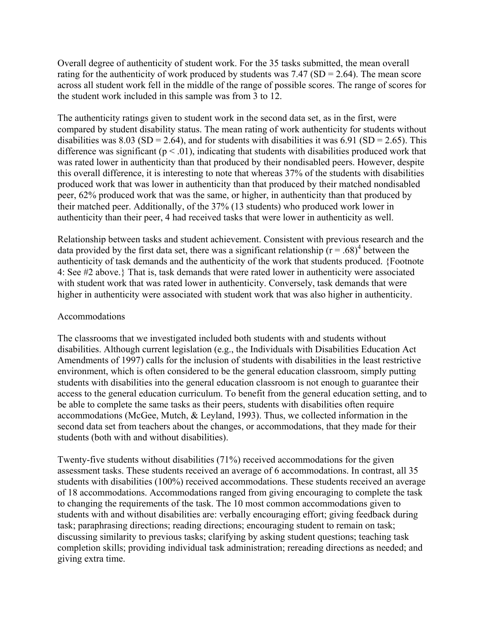Overall degree of authenticity of student work. For the 35 tasks submitted, the mean overall rating for the authenticity of work produced by students was  $7.47$  (SD = 2.64). The mean score across all student work fell in the middle of the range of possible scores. The range of scores for the student work included in this sample was from 3 to 12.

The authenticity ratings given to student work in the second data set, as in the first, were compared by student disability status. The mean rating of work authenticity for students without disabilities was  $8.03$  (SD = 2.64), and for students with disabilities it was  $6.91$  (SD = 2.65). This difference was significant ( $p < .01$ ), indicating that students with disabilities produced work that was rated lower in authenticity than that produced by their nondisabled peers. However, despite this overall difference, it is interesting to note that whereas 37% of the students with disabilities produced work that was lower in authenticity than that produced by their matched nondisabled peer, 62% produced work that was the same, or higher, in authenticity than that produced by their matched peer. Additionally, of the 37% (13 students) who produced work lower in authenticity than their peer, 4 had received tasks that were lower in authenticity as well.

Relationship between tasks and student achievement. Consistent with previous research and the data provided by the first data set, there was a significant relationship  $(r = .68)^4$  between the authenticity of task demands and the authenticity of the work that students produced. {Footnote 4: See #2 above.} That is, task demands that were rated lower in authenticity were associated with student work that was rated lower in authenticity. Conversely, task demands that were higher in authenticity were associated with student work that was also higher in authenticity.

## Accommodations

The classrooms that we investigated included both students with and students without disabilities. Although current legislation (e.g., the Individuals with Disabilities Education Act Amendments of 1997) calls for the inclusion of students with disabilities in the least restrictive environment, which is often considered to be the general education classroom, simply putting students with disabilities into the general education classroom is not enough to guarantee their access to the general education curriculum. To benefit from the general education setting, and to be able to complete the same tasks as their peers, students with disabilities often require accommodations (McGee, Mutch, & Leyland, 1993). Thus, we collected information in the second data set from teachers about the changes, or accommodations, that they made for their students (both with and without disabilities).

Twenty-five students without disabilities (71%) received accommodations for the given assessment tasks. These students received an average of 6 accommodations. In contrast, all 35 students with disabilities (100%) received accommodations. These students received an average of 18 accommodations. Accommodations ranged from giving encouraging to complete the task to changing the requirements of the task. The 10 most common accommodations given to students with and without disabilities are: verbally encouraging effort; giving feedback during task; paraphrasing directions; reading directions; encouraging student to remain on task; discussing similarity to previous tasks; clarifying by asking student questions; teaching task completion skills; providing individual task administration; rereading directions as needed; and giving extra time.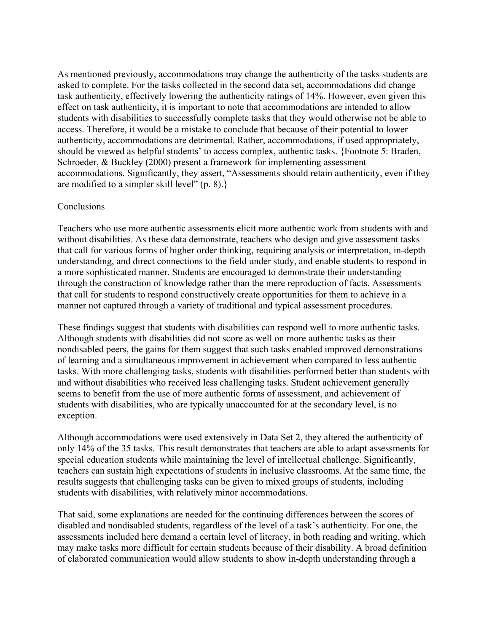As mentioned previously, accommodations may change the authenticity of the tasks students are asked to complete. For the tasks collected in the second data set, accommodations did change task authenticity, effectively lowering the authenticity ratings of 14%. However, even given this effect on task authenticity, it is important to note that accommodations are intended to allow students with disabilities to successfully complete tasks that they would otherwise not be able to access. Therefore, it would be a mistake to conclude that because of their potential to lower authenticity, accommodations are detrimental. Rather, accommodations, if used appropriately, should be viewed as helpful students' to access complex, authentic tasks. {Footnote 5: Braden, Schroeder, & Buckley (2000) present a framework for implementing assessment accommodations. Significantly, they assert, "Assessments should retain authenticity, even if they are modified to a simpler skill level" (p. 8).}

## **Conclusions**

Teachers who use more authentic assessments elicit more authentic work from students with and without disabilities. As these data demonstrate, teachers who design and give assessment tasks that call for various forms of higher order thinking, requiring analysis or interpretation, in-depth understanding, and direct connections to the field under study, and enable students to respond in a more sophisticated manner. Students are encouraged to demonstrate their understanding through the construction of knowledge rather than the mere reproduction of facts. Assessments that call for students to respond constructively create opportunities for them to achieve in a manner not captured through a variety of traditional and typical assessment procedures.

These findings suggest that students with disabilities can respond well to more authentic tasks. Although students with disabilities did not score as well on more authentic tasks as their nondisabled peers, the gains for them suggest that such tasks enabled improved demonstrations of learning and a simultaneous improvement in achievement when compared to less authentic tasks. With more challenging tasks, students with disabilities performed better than students with and without disabilities who received less challenging tasks. Student achievement generally seems to benefit from the use of more authentic forms of assessment, and achievement of students with disabilities, who are typically unaccounted for at the secondary level, is no exception.

Although accommodations were used extensively in Data Set 2, they altered the authenticity of only 14% of the 35 tasks. This result demonstrates that teachers are able to adapt assessments for special education students while maintaining the level of intellectual challenge. Significantly, teachers can sustain high expectations of students in inclusive classrooms. At the same time, the results suggests that challenging tasks can be given to mixed groups of students, including students with disabilities, with relatively minor accommodations.

That said, some explanations are needed for the continuing differences between the scores of disabled and nondisabled students, regardless of the level of a task's authenticity. For one, the assessments included here demand a certain level of literacy, in both reading and writing, which may make tasks more difficult for certain students because of their disability. A broad definition of elaborated communication would allow students to show in-depth understanding through a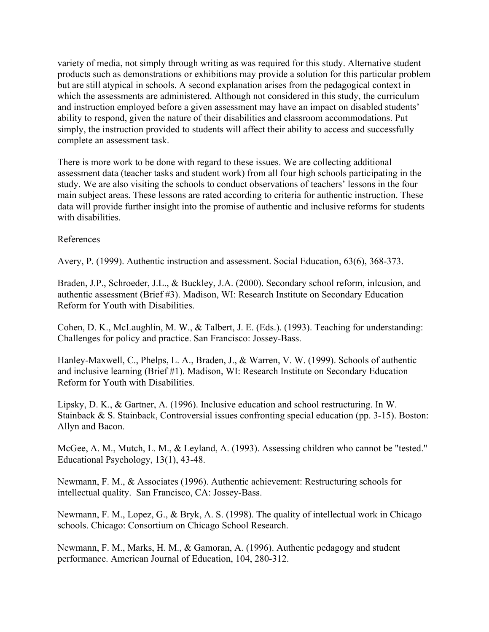variety of media, not simply through writing as was required for this study. Alternative student products such as demonstrations or exhibitions may provide a solution for this particular problem but are still atypical in schools. A second explanation arises from the pedagogical context in which the assessments are administered. Although not considered in this study, the curriculum and instruction employed before a given assessment may have an impact on disabled students' ability to respond, given the nature of their disabilities and classroom accommodations. Put simply, the instruction provided to students will affect their ability to access and successfully complete an assessment task.

There is more work to be done with regard to these issues. We are collecting additional assessment data (teacher tasks and student work) from all four high schools participating in the study. We are also visiting the schools to conduct observations of teachers' lessons in the four main subject areas. These lessons are rated according to criteria for authentic instruction. These data will provide further insight into the promise of authentic and inclusive reforms for students with disabilities

References

Avery, P. (1999). Authentic instruction and assessment. Social Education, 63(6), 368-373.

Braden, J.P., Schroeder, J.L., & Buckley, J.A. (2000). Secondary school reform, inlcusion, and authentic assessment (Brief #3). Madison, WI: Research Institute on Secondary Education Reform for Youth with Disabilities.

Cohen, D. K., McLaughlin, M. W., & Talbert, J. E. (Eds.). (1993). Teaching for understanding: Challenges for policy and practice. San Francisco: Jossey-Bass.

Hanley-Maxwell, C., Phelps, L. A., Braden, J., & Warren, V. W. (1999). Schools of authentic and inclusive learning (Brief #1). Madison, WI: Research Institute on Secondary Education Reform for Youth with Disabilities.

Lipsky, D. K., & Gartner, A. (1996). Inclusive education and school restructuring. In W. Stainback & S. Stainback, Controversial issues confronting special education (pp. 3-15). Boston: Allyn and Bacon.

McGee, A. M., Mutch, L. M., & Leyland, A. (1993). Assessing children who cannot be "tested." Educational Psychology, 13(1), 43-48.

Newmann, F. M., & Associates (1996). Authentic achievement: Restructuring schools for intellectual quality. San Francisco, CA: Jossey-Bass.

Newmann, F. M., Lopez, G., & Bryk, A. S. (1998). The quality of intellectual work in Chicago schools. Chicago: Consortium on Chicago School Research.

Newmann, F. M., Marks, H. M., & Gamoran, A. (1996). Authentic pedagogy and student performance. American Journal of Education, 104, 280-312.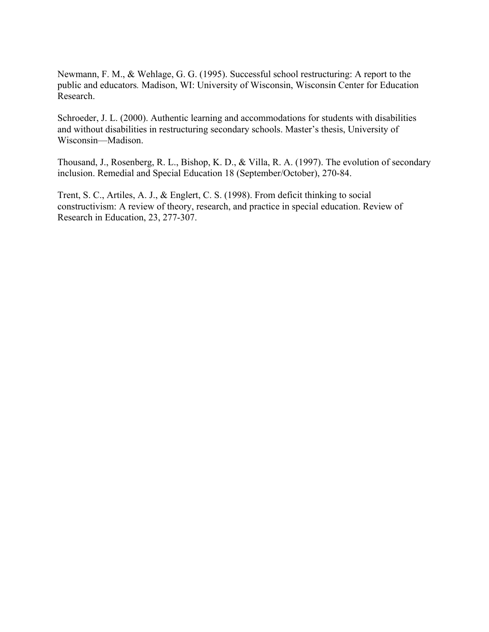Newmann, F. M., & Wehlage, G. G. (1995). Successful school restructuring: A report to the public and educators*.* Madison, WI: University of Wisconsin, Wisconsin Center for Education Research.

Schroeder, J. L. (2000). Authentic learning and accommodations for students with disabilities and without disabilities in restructuring secondary schools. Master's thesis, University of Wisconsin—Madison.

Thousand, J., Rosenberg, R. L., Bishop, K. D., & Villa, R. A. (1997). The evolution of secondary inclusion. Remedial and Special Education 18 (September/October), 270-84.

Trent, S. C., Artiles, A. J., & Englert, C. S. (1998). From deficit thinking to social constructivism: A review of theory, research, and practice in special education. Review of Research in Education, 23, 277-307.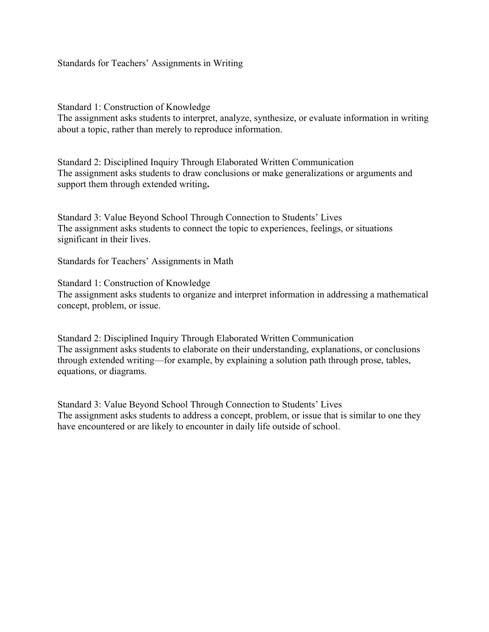Standards for Teachers' Assignments in Writing

Standard 1: Construction of Knowledge

The assignment asks students to interpret, analyze, synthesize, or evaluate information in writing about a topic, rather than merely to reproduce information.

Standard 2: Disciplined Inquiry Through Elaborated Written Communication The assignment asks students to draw conclusions or make generalizations or arguments and support them through extended writing**.** 

Standard 3: Value Beyond School Through Connection to Students' Lives The assignment asks students to connect the topic to experiences, feelings, or situations significant in their lives.

Standards for Teachers' Assignments in Math

Standard 1: Construction of Knowledge The assignment asks students to organize and interpret information in addressing a mathematical concept, problem, or issue.

Standard 2: Disciplined Inquiry Through Elaborated Written Communication The assignment asks students to elaborate on their understanding, explanations, or conclusions through extended writing—for example, by explaining a solution path through prose, tables, equations, or diagrams.

Standard 3: Value Beyond School Through Connection to Students' Lives The assignment asks students to address a concept, problem, or issue that is similar to one they have encountered or are likely to encounter in daily life outside of school.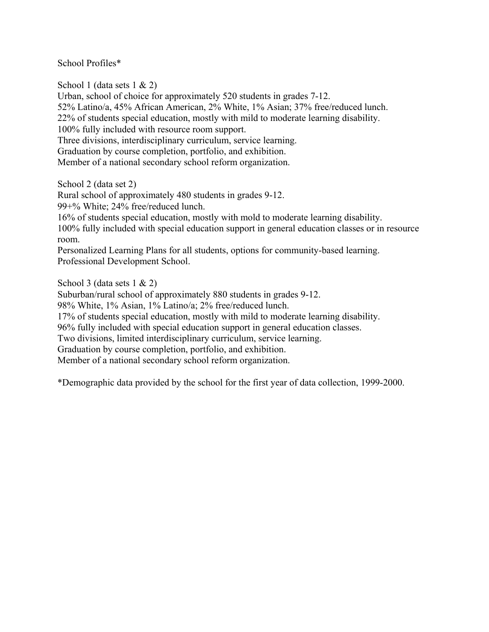School Profiles\*

School 1 (data sets 1 & 2) Urban, school of choice for approximately 520 students in grades 7-12. 52% Latino/a, 45% African American, 2% White, 1% Asian; 37% free/reduced lunch. 22% of students special education, mostly with mild to moderate learning disability. 100% fully included with resource room support. Three divisions, interdisciplinary curriculum, service learning. Graduation by course completion, portfolio, and exhibition. Member of a national secondary school reform organization.

School 2 (data set 2)

Rural school of approximately 480 students in grades 9-12.

99+% White; 24% free/reduced lunch.

16% of students special education, mostly with mold to moderate learning disability.

100% fully included with special education support in general education classes or in resource room.

Personalized Learning Plans for all students, options for community-based learning. Professional Development School.

School 3 (data sets  $1 \& 2$ )

Suburban/rural school of approximately 880 students in grades 9-12.

98% White, 1% Asian, 1% Latino/a; 2% free/reduced lunch.

17% of students special education, mostly with mild to moderate learning disability.

96% fully included with special education support in general education classes.

Two divisions, limited interdisciplinary curriculum, service learning.

Graduation by course completion, portfolio, and exhibition.

Member of a national secondary school reform organization.

\*Demographic data provided by the school for the first year of data collection, 1999-2000.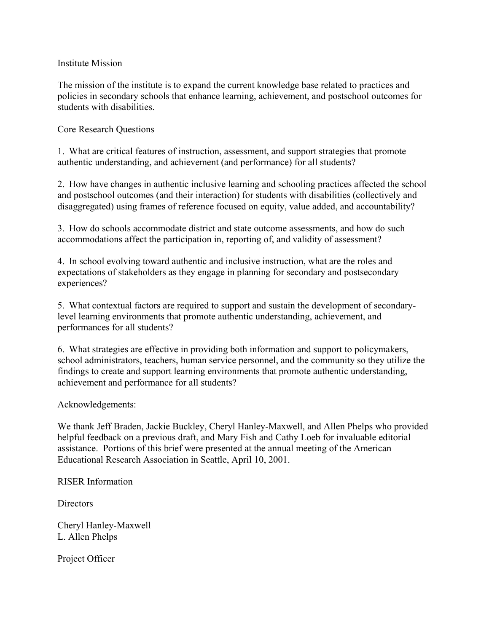# Institute Mission

The mission of the institute is to expand the current knowledge base related to practices and policies in secondary schools that enhance learning, achievement, and postschool outcomes for students with disabilities.

# Core Research Questions

1. What are critical features of instruction, assessment, and support strategies that promote authentic understanding, and achievement (and performance) for all students?

2. How have changes in authentic inclusive learning and schooling practices affected the school and postschool outcomes (and their interaction) for students with disabilities (collectively and disaggregated) using frames of reference focused on equity, value added, and accountability?

3. How do schools accommodate district and state outcome assessments, and how do such accommodations affect the participation in, reporting of, and validity of assessment?

4. In school evolving toward authentic and inclusive instruction, what are the roles and expectations of stakeholders as they engage in planning for secondary and postsecondary experiences?

5. What contextual factors are required to support and sustain the development of secondarylevel learning environments that promote authentic understanding, achievement, and performances for all students?

6. What strategies are effective in providing both information and support to policymakers, school administrators, teachers, human service personnel, and the community so they utilize the findings to create and support learning environments that promote authentic understanding, achievement and performance for all students?

## Acknowledgements:

We thank Jeff Braden, Jackie Buckley, Cheryl Hanley-Maxwell, and Allen Phelps who provided helpful feedback on a previous draft, and Mary Fish and Cathy Loeb for invaluable editorial assistance. Portions of this brief were presented at the annual meeting of the American Educational Research Association in Seattle, April 10, 2001.

## RISER Information

Directors

Cheryl Hanley-Maxwell L. Allen Phelps

Project Officer